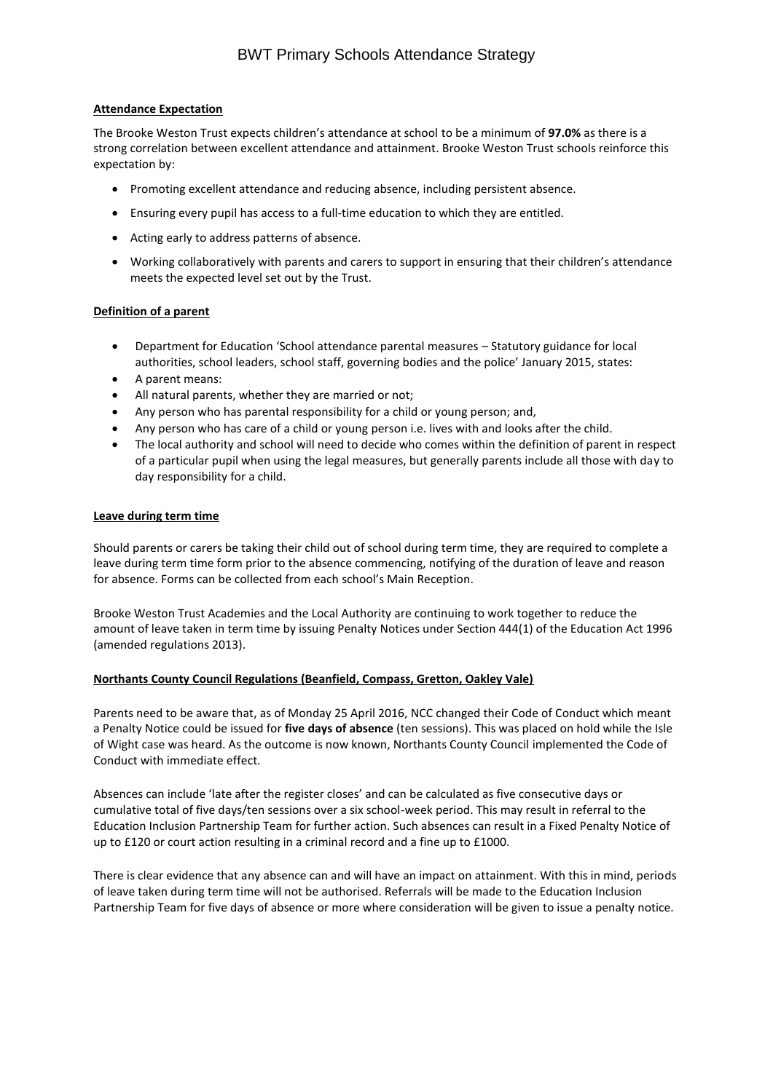## **Attendance Expectation**

The Brooke Weston Trust expects children's attendance at school to be a minimum of **97.0%** as there is a strong correlation between excellent attendance and attainment. Brooke Weston Trust schools reinforce this expectation by:

- Promoting excellent attendance and reducing absence, including persistent absence.
- Ensuring every pupil has access to a full-time education to which they are entitled.
- Acting early to address patterns of absence.
- Working collaboratively with parents and carers to support in ensuring that their children's attendance meets the expected level set out by the Trust.

# **Definition of a parent**

- Department for Education 'School attendance parental measures Statutory guidance for local authorities, school leaders, school staff, governing bodies and the police' January 2015, states:
- A parent means:
- All natural parents, whether they are married or not;
- Any person who has parental responsibility for a child or young person; and,
- Any person who has care of a child or young person i.e. lives with and looks after the child.
- The local authority and school will need to decide who comes within the definition of parent in respect of a particular pupil when using the legal measures, but generally parents include all those with day to day responsibility for a child.

## **Leave during term time**

Should parents or carers be taking their child out of school during term time, they are required to complete a leave during term time form prior to the absence commencing, notifying of the duration of leave and reason for absence. Forms can be collected from each school's Main Reception.

Brooke Weston Trust Academies and the Local Authority are continuing to work together to reduce the amount of leave taken in term time by issuing Penalty Notices under Section 444(1) of the Education Act 1996 (amended regulations 2013).

## **Northants County Council Regulations (Beanfield, Compass, Gretton, Oakley Vale)**

Parents need to be aware that, as of Monday 25 April 2016, NCC changed their Code of Conduct which meant a Penalty Notice could be issued for **five days of absence** (ten sessions). This was placed on hold while the Isle of Wight case was heard. As the outcome is now known, Northants County Council implemented the Code of Conduct with immediate effect.

Absences can include 'late after the register closes' and can be calculated as five consecutive days or cumulative total of five days/ten sessions over a six school-week period. This may result in referral to the Education Inclusion Partnership Team for further action. Such absences can result in a Fixed Penalty Notice of up to £120 or court action resulting in a criminal record and a fine up to £1000.

There is clear evidence that any absence can and will have an impact on attainment. With this in mind, periods of leave taken during term time will not be authorised. Referrals will be made to the Education Inclusion Partnership Team for five days of absence or more where consideration will be given to issue a penalty notice.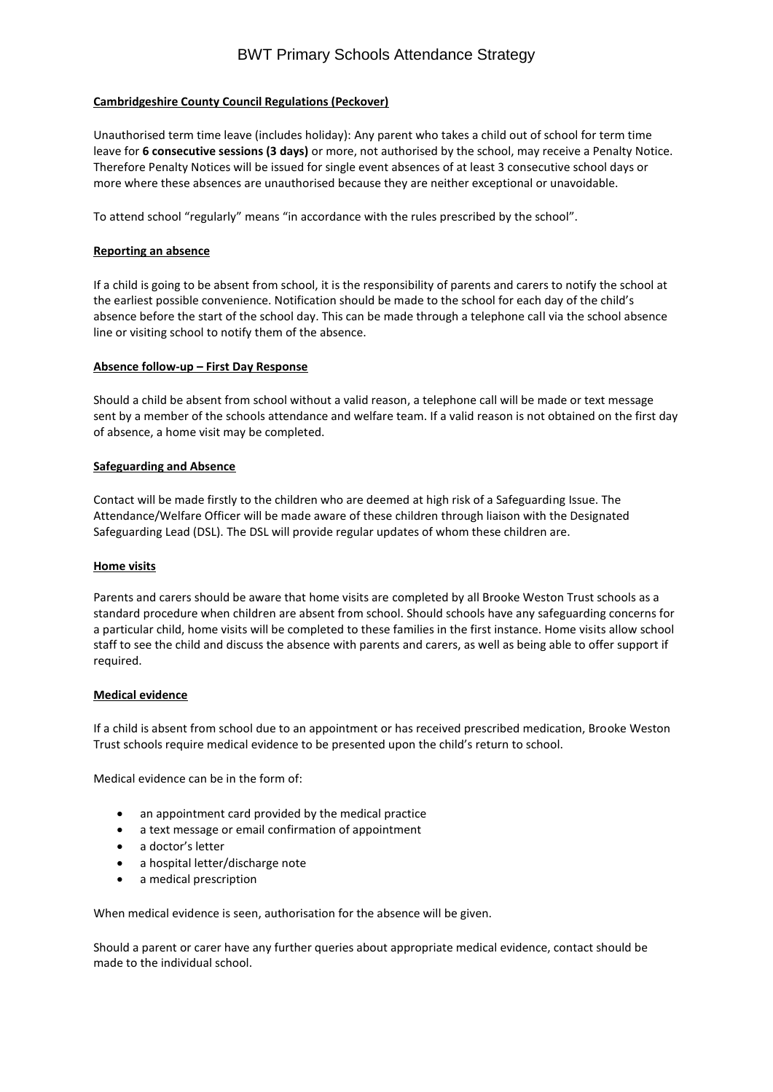# BWT Primary Schools Attendance Strategy

## **Cambridgeshire County Council Regulations (Peckover)**

Unauthorised term time leave (includes holiday): Any parent who takes a child out of school for term time leave for **6 consecutive sessions (3 days)** or more, not authorised by the school, may receive a Penalty Notice. Therefore Penalty Notices will be issued for single event absences of at least 3 consecutive school days or more where these absences are unauthorised because they are neither exceptional or unavoidable.

To attend school "regularly" means "in accordance with the rules prescribed by the school".

## **Reporting an absence**

If a child is going to be absent from school, it is the responsibility of parents and carers to notify the school at the earliest possible convenience. Notification should be made to the school for each day of the child's absence before the start of the school day. This can be made through a telephone call via the school absence line or visiting school to notify them of the absence.

#### **Absence follow-up – First Day Response**

Should a child be absent from school without a valid reason, a telephone call will be made or text message sent by a member of the schools attendance and welfare team. If a valid reason is not obtained on the first day of absence, a home visit may be completed.

#### **Safeguarding and Absence**

Contact will be made firstly to the children who are deemed at high risk of a Safeguarding Issue. The Attendance/Welfare Officer will be made aware of these children through liaison with the Designated Safeguarding Lead (DSL). The DSL will provide regular updates of whom these children are.

## **Home visits**

Parents and carers should be aware that home visits are completed by all Brooke Weston Trust schools as a standard procedure when children are absent from school. Should schools have any safeguarding concerns for a particular child, home visits will be completed to these families in the first instance. Home visits allow school staff to see the child and discuss the absence with parents and carers, as well as being able to offer support if required.

## **Medical evidence**

If a child is absent from school due to an appointment or has received prescribed medication, Brooke Weston Trust schools require medical evidence to be presented upon the child's return to school.

Medical evidence can be in the form of:

- an appointment card provided by the medical practice
- a text message or email confirmation of appointment
- a doctor's letter
- a hospital letter/discharge note
- a medical prescription

When medical evidence is seen, authorisation for the absence will be given.

Should a parent or carer have any further queries about appropriate medical evidence, contact should be made to the individual school.